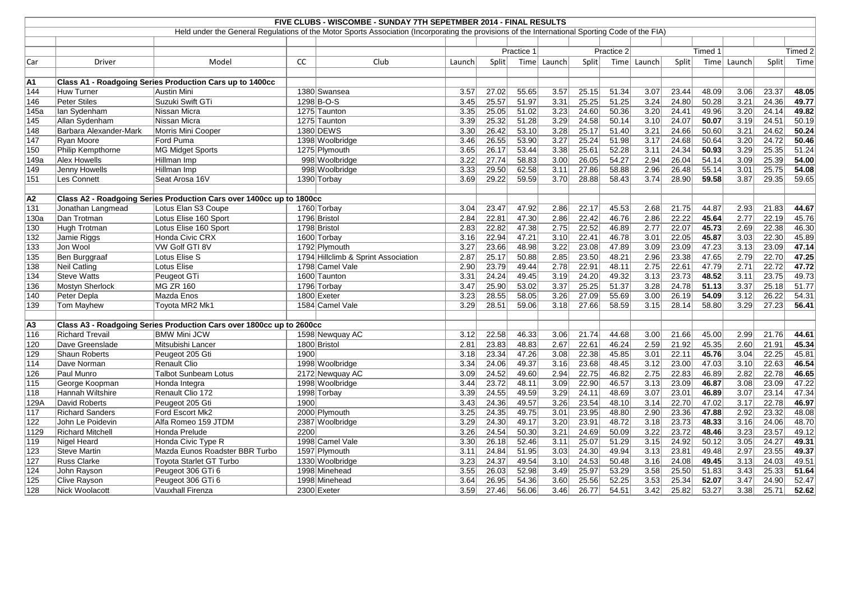| FIVE CLUBS - WISCOMBE - SUNDAY 7TH SEPETMBER 2014 - FINAL RESULTS                                                                               |                         |                                                                      |      |                                     |        |            |       |             |       |            |             |         |       |             |       |         |
|-------------------------------------------------------------------------------------------------------------------------------------------------|-------------------------|----------------------------------------------------------------------|------|-------------------------------------|--------|------------|-------|-------------|-------|------------|-------------|---------|-------|-------------|-------|---------|
| Held under the General Regulations of the Motor Sports Association (Incorporating the provisions of the International Sporting Code of the FIA) |                         |                                                                      |      |                                     |        |            |       |             |       |            |             |         |       |             |       |         |
|                                                                                                                                                 |                         |                                                                      |      |                                     |        |            |       |             |       |            |             |         |       |             |       |         |
|                                                                                                                                                 |                         |                                                                      |      |                                     |        | Practice 1 |       |             |       | Practice 2 |             | Timed 1 |       |             |       | Timed 2 |
| Car                                                                                                                                             | Driver                  | Model                                                                | CC   | Club                                | Launch | Split      |       | Time Launch | Split |            | Time Launch | Split   |       | Time Launch | Split | Time    |
|                                                                                                                                                 |                         |                                                                      |      |                                     |        |            |       |             |       |            |             |         |       |             |       |         |
| A1                                                                                                                                              |                         | Class A1 - Roadgoing Series Production Cars up to 1400cc             |      |                                     |        |            |       |             |       |            |             |         |       |             |       |         |
| 144                                                                                                                                             | <b>Huw Turner</b>       | Austin Mini                                                          |      | 1380 Swansea                        | 3.57   | 27.02      | 55.65 | 3.57        | 25.15 | 51.34      | 3.07        | 23.44   | 48.09 | 3.06        | 23.37 | 48.05   |
| 146                                                                                                                                             | <b>Peter Stiles</b>     | Suzuki Swift GTi                                                     |      | 1298 B-O-S                          | 3.45   | 25.57      | 51.97 | 3.31        | 25.25 | 51.25      | 3.24        | 24.80   | 50.28 | 3.21        | 24.36 | 49.77   |
| 145a                                                                                                                                            | lan Sydenham            | Nissan Micra                                                         |      | 1275 Taunton                        | 3.35   | 25.05      | 51.02 | 3.23        | 24.60 | 50.36      | 3.20        | 24.41   | 49.96 | 3.20        | 24.14 | 49.82   |
| 145                                                                                                                                             | Allan Sydenham          | Nissan Micra                                                         |      | 1275 Taunton                        | 3.39   | 25.32      | 51.28 | 3.29        | 24.58 | 50.14      | 3.10        | 24.07   | 50.07 | 3.19        | 24.51 | 50.19   |
| 148                                                                                                                                             | Barbara Alexander-Mark  | Morris Mini Cooper                                                   |      | 1380 DEWS                           | 3.30   | 26.42      | 53.10 | 3.28        | 25.17 | 51.40      | 3.21        | 24.66   | 50.60 | 3.21        | 24.62 | 50.24   |
| 147                                                                                                                                             | Ryan Moore              | Ford Puma                                                            |      | 1398 Woolbridge                     | 3.46   | 26.55      | 53.90 | 3.27        | 25.24 | 51.98      | 3.17        | 24.68   | 50.64 | 3.20        | 24.72 | 50.46   |
| 150                                                                                                                                             | Philip Kempthorne       | <b>MG Midget Sports</b>                                              |      | 1275 Plymouth                       | 3.65   | 26.17      | 53.44 | 3.38        | 25.61 | 52.28      | 3.11        | 24.34   | 50.93 | 3.29        | 25.35 | 51.24   |
| 149a                                                                                                                                            | <b>Alex Howells</b>     | Hillman Imp                                                          |      | 998 Woolbridge                      | 3.22   | 27.74      | 58.83 | 3.00        | 26.05 | 54.27      | 2.94        | 26.04   | 54.14 | 3.09        | 25.39 | 54.00   |
| 149                                                                                                                                             | Jenny Howells           | Hillman Imp                                                          |      | 998 Woolbridge                      | 3.33   | 29.50      | 62.58 | 3.11        | 27.86 | 58.88      | 2.96        | 26.48   | 55.14 | 3.01        | 25.75 | 54.08   |
| 151                                                                                                                                             | Les Connett             | Seat Arosa 16V                                                       |      | 1390 Torbay                         | 3.69   | 29.22      | 59.59 | 3.70        | 28.88 | 58.43      | 3.74        | 28.90   | 59.58 | 3.87        | 29.35 | 59.65   |
|                                                                                                                                                 |                         |                                                                      |      |                                     |        |            |       |             |       |            |             |         |       |             |       |         |
| <b>A2</b>                                                                                                                                       |                         | Class A2 - Roadgoing Series Production Cars over 1400cc up to 1800cc |      |                                     |        |            |       |             |       |            |             |         |       |             |       |         |
| 131                                                                                                                                             | Jonathan Langmead       | Lotus Elan S3 Coupe                                                  |      | 1760 Torbay                         | 3.04   | 23.47      | 47.92 | 2.86        | 22.17 | 45.53      | 2.68        | 21.75   | 44.87 | 2.93        | 21.83 | 44.67   |
| 130a                                                                                                                                            | Dan Trotman             | Lotus Elise 160 Sport                                                |      | 1796 Bristol                        | 2.84   | 22.81      | 47.30 | 2.86        | 22.42 | 46.76      | 2.86        | 22.22   | 45.64 | 2.77        | 22.19 | 45.76   |
| 130                                                                                                                                             | Hugh Trotman            | Lotus Elise 160 Sport                                                |      | 1798 Bristol                        | 2.83   | 22.82      | 47.38 | 2.75        | 22.52 | 46.89      | 2.77        | 22.07   | 45.73 | 2.69        | 22.38 | 46.30   |
| 132                                                                                                                                             | Jamie Riggs             | Honda Civic CRX                                                      |      | 1600 Torbay                         | 3.16   | 22.94      | 47.21 | 3.10        | 22.41 | 46.78      | 3.01        | 22.05   | 45.87 | 3.03        | 22.30 | 45.89   |
| 133                                                                                                                                             | Jon Wool                | VW Golf GTI 8V                                                       |      | 1792 Plymouth                       | 3.27   | 23.66      | 48.98 | 3.22        | 23.08 | 47.89      | 3.09        | 23.09   | 47.23 | 3.13        | 23.09 | 47.14   |
| 135                                                                                                                                             | Ben Burggraaf           | Lotus Elise S                                                        |      | 1794 Hillclimb & Sprint Association | 2.87   | 25.17      | 50.88 | 2.85        | 23.50 | 48.21      | 2.96        | 23.38   | 47.65 | 2.79        | 22.70 | 47.25   |
| 138                                                                                                                                             | <b>Neil Catling</b>     | Lotus Elise                                                          |      | 1798 Camel Vale                     | 2.90   | 23.79      | 49.44 | 2.78        | 22.91 | 48.11      | 2.75        | 22.61   | 47.79 | 2.71        | 22.72 | 47.72   |
| 134                                                                                                                                             | <b>Steve Watts</b>      | Peugeot GTi                                                          |      | 1600 Taunton                        | 3.31   | 24.24      | 49.45 | 3.19        | 24.20 | 49.32      | 3.13        | 23.73   | 48.52 | 3.11        | 23.75 | 49.73   |
| 136                                                                                                                                             | <b>Mostyn Sherlock</b>  | <b>MG ZR 160</b>                                                     |      | 1796 Torbay                         | 3.47   | 25.90      | 53.02 | 3.37        | 25.25 | 51.37      | 3.28        | 24.78   | 51.13 | 3.37        | 25.18 | 51.77   |
| 140                                                                                                                                             | Peter Depla             | Mazda Enos                                                           |      | 1800 Exeter                         | 3.23   | 28.55      | 58.05 | 3.26        | 27.09 | 55.69      | 3.00        | 26.19   | 54.09 | 3.12        | 26.22 | 54.31   |
| 139                                                                                                                                             | Tom Mayhew              | Toyota MR2 Mk1                                                       |      | 1584 Camel Vale                     | 3.29   | 28.51      | 59.06 | 3.18        | 27.66 | 58.59      | 3.15        | 28.14   | 58.80 | 3.29        | 27.23 | 56.41   |
|                                                                                                                                                 |                         |                                                                      |      |                                     |        |            |       |             |       |            |             |         |       |             |       |         |
| A3                                                                                                                                              |                         | Class A3 - Roadgoing Series Production Cars over 1800cc up to 2600cc |      |                                     |        |            |       |             |       |            |             |         |       |             |       |         |
| 116                                                                                                                                             | <b>Richard Trevail</b>  | <b>BMW Mini JCW</b>                                                  |      | 1598 Newquay AC                     | 3.12   | 22.58      | 46.33 | 3.06        | 21.74 | 44.68      | 3.00        | 21.66   | 45.00 | 2.99        | 21.76 | 44.61   |
| 120                                                                                                                                             | Dave Greenslade         | Mitsubishi Lancer                                                    |      | 1800 Bristol                        | 2.81   | 23.83      | 48.83 | 2.67        | 22.61 | 46.24      | 2.59        | 21.92   | 45.35 | 2.60        | 21.91 | 45.34   |
| 129                                                                                                                                             | <b>Shaun Roberts</b>    | Peugeot 205 Gti                                                      | 1900 |                                     | 3.18   | 23.34      | 47.26 | 3.08        | 22.38 | 45.85      | 3.01        | 22.11   | 45.76 | 3.04        | 22.25 | 45.81   |
| 114                                                                                                                                             | Dave Norman             | Renault Clio                                                         |      | 1998 Woolbridge                     | 3.34   | 24.06      | 49.37 | 3.16        | 23.68 | 48.45      | 3.12        | 23.00   | 47.03 | 3.10        | 22.63 | 46.54   |
| 126                                                                                                                                             | Paul Munro              | <b>Talbot Sunbeam Lotus</b>                                          |      | 2172 Newquay AC                     | 3.09   | 24.52      | 49.60 | 2.94        | 22.75 | 46.82      | 2.75        | 22.83   | 46.89 | 2.82        | 22.78 | 46.65   |
| 115                                                                                                                                             | George Koopman          | Honda Integra                                                        |      | 1998 Woolbridge                     | 3.44   | 23.72      | 48.11 | 3.09        | 22.90 | 46.57      | 3.13        | 23.09   | 46.87 | 3.08        | 23.09 | 47.22   |
| 118                                                                                                                                             | Hannah Wiltshire        | Renault Clio 172                                                     |      | 1998 Torbay                         | 3.39   | 24.55      | 49.59 | 3.29        | 24.11 | 48.69      | 3.07        | 23.01   | 46.89 | 3.07        | 23.14 | 47.34   |
| 129A                                                                                                                                            | David Roberts           | Peugeot 205 Gti                                                      | 1900 |                                     | 3.43   | 24.36      | 49.57 | 3.26        | 23.54 | 48.10      | 3.14        | 22.70   | 47.02 | 3.17        | 22.78 | 46.97   |
| 117                                                                                                                                             | <b>Richard Sanders</b>  | Ford Escort Mk2                                                      |      | 2000 Plymouth                       | 3.25   | 24.35      | 49.75 | 3.01        | 23.95 | 48.80      | 2.90        | 23.36   | 47.88 | 2.92        | 23.32 | 48.08   |
| 122                                                                                                                                             | John Le Poidevin        | Alfa Romeo 159 JTDM                                                  |      | 2387 Woolbridge                     | 3.29   | 24.30      | 49.17 | 3.20        | 23.91 | 48.72      | 3.18        | 23.73   | 48.33 | 3.16        | 24.06 | 48.70   |
| 1129                                                                                                                                            | <b>Richard Mitchell</b> | Honda Prelude                                                        | 2200 |                                     | 3.26   | 24.54      | 50.30 | 3.21        | 24.69 | 50.09      | 3.22        | 23.72   | 48.46 | 3.23        | 23.57 | 49.12   |
| 119                                                                                                                                             | Nigel Heard             | Honda Civic Type R                                                   |      | 1998 Camel Vale                     | 3.30   | 26.18      | 52.46 | 3.11        | 25.07 | 51.29      | 3.15        | 24.92   | 50.12 | 3.05        | 24.27 | 49.31   |
| 123                                                                                                                                             | <b>Steve Martin</b>     | Mazda Eunos Roadster BBR Turbo                                       |      | 1597 Plymouth                       | 3.11   | 24.84      | 51.95 | 3.03        | 24.30 | 49.94      | 3.13        | 23.81   | 49.48 | 2.97        | 23.55 | 49.37   |
| 127                                                                                                                                             | Russ Clarke             | Toyota Starlet GT Turbo                                              |      | 1330 Woolbridge                     | 3.23   | 24.37      | 49.54 | 3.10        | 24.53 | 50.48      | 3.16        | 24.08   | 49.45 | 3.13        | 24.03 | 49.51   |
| 124                                                                                                                                             | John Rayson             | Peugeot 306 GTi 6                                                    |      | 1998 Minehead                       | 3.55   | 26.03      | 52.98 | 3.49        | 25.97 | 53.29      | 3.58        | 25.50   | 51.83 | 3.43        | 25.33 | 51.64   |
| 125                                                                                                                                             | Clive Rayson            | Peugeot 306 GTi 6                                                    |      | 1998 Minehead                       | 3.64   | 26.95      | 54.36 | 3.60        | 25.56 | 52.25      | 3.53        | 25.34   | 52.07 | 3.47        | 24.90 | 52.47   |
| 128                                                                                                                                             | Nick Woolacott          | Vauxhall Firenza                                                     |      | $2300$ Exeter                       | 3.59   | 27.46      | 56.06 | 3.46        | 26.77 | 54.51      | 3.42        | 25.82   | 53.27 | 3.38        | 25.71 | 52.62   |
|                                                                                                                                                 |                         |                                                                      |      |                                     |        |            |       |             |       |            |             |         |       |             |       |         |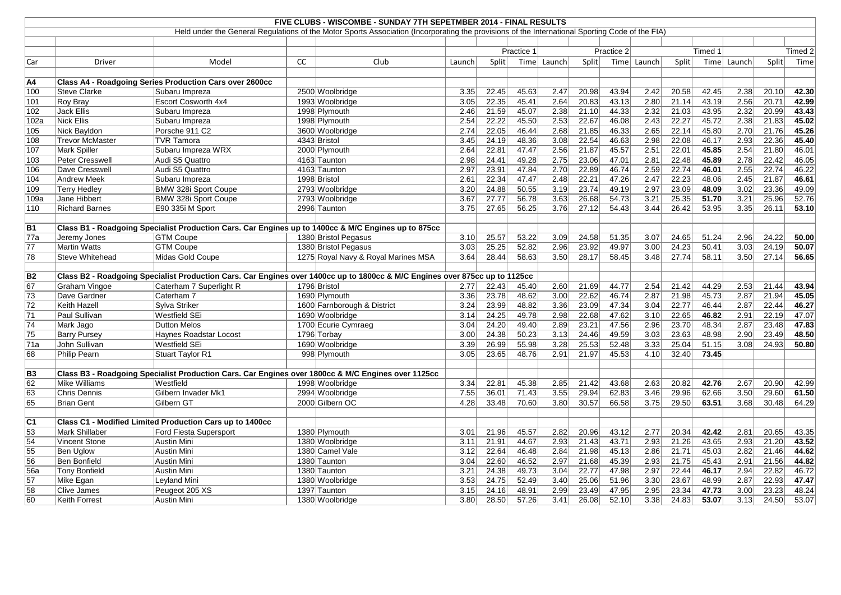| FIVE CLUBS - WISCOMBE - SUNDAY 7TH SEPETMBER 2014 - FINAL RESULTS                                                                               |                        |                                                                                                                             |    |                                     |        |            |       |        |       |            |        |       |         |        |       |         |
|-------------------------------------------------------------------------------------------------------------------------------------------------|------------------------|-----------------------------------------------------------------------------------------------------------------------------|----|-------------------------------------|--------|------------|-------|--------|-------|------------|--------|-------|---------|--------|-------|---------|
| Held under the General Regulations of the Motor Sports Association (Incorporating the provisions of the International Sporting Code of the FIA) |                        |                                                                                                                             |    |                                     |        |            |       |        |       |            |        |       |         |        |       |         |
|                                                                                                                                                 |                        |                                                                                                                             |    |                                     |        |            |       |        |       |            |        |       |         |        |       |         |
|                                                                                                                                                 |                        |                                                                                                                             |    |                                     |        | Practice 1 |       |        |       | Practice 2 |        |       | Timed 1 |        |       | Timed 2 |
| Car                                                                                                                                             | Driver                 | Model                                                                                                                       | CC | Club                                | Launch | Split      | Time  | Launch | Split | Time       | Launch | Split | Time    | Launch | Split | Time    |
|                                                                                                                                                 |                        |                                                                                                                             |    |                                     |        |            |       |        |       |            |        |       |         |        |       |         |
| A4                                                                                                                                              |                        | <b>Class A4 - Roadgoing Series Production Cars over 2600cc</b>                                                              |    |                                     |        |            |       |        |       |            |        |       |         |        |       |         |
| 100                                                                                                                                             | <b>Steve Clarke</b>    | Subaru Impreza                                                                                                              |    | 2500 Woolbridge                     | 3.35   | 22.45      | 45.63 | 2.47   | 20.98 | 43.94      | 2.42   | 20.58 | 42.45   | 2.38   | 20.10 | 42.30   |
| 101                                                                                                                                             | Roy Bray               | <b>Escort Cosworth 4x4</b>                                                                                                  |    | 1993 Woolbridge                     | 3.05   | 22.35      | 45.41 | 2.64   | 20.83 | 43.13      | 2.80   | 21.14 | 43.19   | 2.56   | 20.71 | 42.99   |
| 102                                                                                                                                             | <b>Jack Ellis</b>      | Subaru Impreza                                                                                                              |    | 1998 Plymouth                       | 2.46   | 21.59      | 45.07 | 2.38   | 21.10 | 44.33      | 2.32   | 21.03 | 43.95   | 2.32   | 20.99 | 43.43   |
| 102a                                                                                                                                            | <b>Nick Ellis</b>      | Subaru Impreza                                                                                                              |    | 1998 Plymouth                       | 2.54   | 22.22      | 45.50 | 2.53   | 22.67 | 46.08      | 2.43   | 22.27 | 45.72   | 2.38   | 21.83 | 45.02   |
| 105                                                                                                                                             | Nick Bayldon           | Porsche 911 C2                                                                                                              |    | 3600 Woolbridge                     | 2.74   | 22.05      | 46.44 | 2.68   | 21.85 | 46.33      | 2.65   | 22.14 | 45.80   | 2.70   | 21.76 | 45.26   |
| 108                                                                                                                                             | <b>Trevor McMaster</b> | <b>TVR Tamora</b>                                                                                                           |    | 4343 Bristol                        | 3.45   | 24.19      | 48.36 | 3.08   | 22.54 | 46.63      | 2.98   | 22.08 | 46.17   | 2.93   | 22.36 | 45.40   |
| 107                                                                                                                                             | <b>Mark Spiller</b>    | Subaru Impreza WRX                                                                                                          |    | 2000 Plymouth                       | 2.64   | 22.81      | 47.47 | 2.56   | 21.87 | 45.57      | 2.51   | 22.01 | 45.85   | 2.54   | 21.80 | 46.01   |
| 103                                                                                                                                             | Peter Cresswell        | Audi S5 Quattro                                                                                                             |    | 4163 Taunton                        | 2.98   | 24.41      | 49.28 | 2.75   | 23.06 | 47.01      | 2.81   | 22.48 | 45.89   | 2.78   | 22.42 | 46.05   |
| 106                                                                                                                                             | Dave Cresswell         | Audi S5 Quattro                                                                                                             |    | 4163 Taunton                        | 2.97   | 23.91      | 47.84 | 2.70   | 22.89 | 46.74      | 2.59   | 22.74 | 46.01   | 2.55   | 22.74 | 46.22   |
| 104                                                                                                                                             | <b>Andrew Meek</b>     | Subaru Impreza                                                                                                              |    | 1998 Bristol                        | 2.61   | 22.34      | 47.47 | 2.48   | 22.21 | 47.26      | 2.47   | 22.23 | 48.06   | 2.45   | 21.87 | 46.61   |
| 109                                                                                                                                             | <b>Terry Hedley</b>    | BMW 328i Sport Coupe                                                                                                        |    | 2793 Woolbridge                     | 3.20   | 24.88      | 50.55 | 3.19   | 23.74 | 49.19      | 2.97   | 23.09 | 48.09   | 3.02   | 23.36 | 49.09   |
| 109a                                                                                                                                            | Jane Hibbert           | BMW 328i Sport Coupe                                                                                                        |    | 2793 Woolbridge                     | 3.67   | 27.77      | 56.78 | 3.63   | 26.68 | 54.73      | 3.21   | 25.35 | 51.70   | 3.21   | 25.96 | 52.76   |
| 110                                                                                                                                             | <b>Richard Barnes</b>  | E90 335i M Sport                                                                                                            |    | 2996 Taunton                        | 3.75   | 27.65      | 56.25 | 3.76   | 27.12 | 54.43      | 3.44   | 26.42 | 53.95   | 3.35   | 26.11 | 53.10   |
|                                                                                                                                                 |                        |                                                                                                                             |    |                                     |        |            |       |        |       |            |        |       |         |        |       |         |
| <b>B1</b>                                                                                                                                       |                        | Class B1 - Roadgoing Specialist Production Cars. Car Engines up to 1400cc & M/C Engines up to 875cc                         |    |                                     |        |            |       |        |       |            |        |       |         |        |       |         |
| $\overline{77a}$                                                                                                                                | Jeremy Jones           | <b>GTM Coupe</b>                                                                                                            |    | 1380 Bristol Pegasus                | 3.10   | 25.57      | 53.22 | 3.09   | 24.58 | 51.35      | 3.07   | 24.65 | 51.24   | 2.96   | 24.22 | 50.00   |
| 77                                                                                                                                              | <b>Martin Watts</b>    | <b>GTM Coupe</b>                                                                                                            |    | 1380 Bristol Pegasus                | 3.03   | 25.25      | 52.82 | 2.96   | 23.92 | 49.97      | 3.00   | 24.23 | 50.41   | 3.03   | 24.19 | 50.07   |
| 78                                                                                                                                              | <b>Steve Whitehead</b> | Midas Gold Coupe                                                                                                            |    | 1275 Royal Navy & Royal Marines MSA | 3.64   | 28.44      | 58.63 | 3.50   | 28.17 | 58.45      | 3.48   | 27.74 | 58.11   | 3.50   | 27.14 | 56.65   |
|                                                                                                                                                 |                        |                                                                                                                             |    |                                     |        |            |       |        |       |            |        |       |         |        |       |         |
| B2                                                                                                                                              |                        | Class B2 - Roadgoing Specialist Production Cars. Car Engines over 1400cc up to 1800cc & M/C Engines over 875cc up to 1125cc |    |                                     |        |            |       |        |       |            |        |       |         |        |       |         |
| 67                                                                                                                                              | <b>Graham Vingoe</b>   | Caterham 7 Superlight R                                                                                                     |    | 1796 Bristol                        | 2.77   | 22.43      | 45.40 | 2.60   | 21.69 | 44.77      | 2.54   | 21.42 | 44.29   | 2.53   | 21.44 | 43.94   |
| 73                                                                                                                                              | Dave Gardner           | Caterham 7                                                                                                                  |    | 1690 Plymouth                       | 3.36   | 23.78      | 48.62 | 3.00   | 22.62 | 46.74      | 2.87   | 21.98 | 45.73   | 2.87   | 21.94 | 45.05   |
| 72                                                                                                                                              | Keith Hazell           | Sylva Striker                                                                                                               |    | 1600 Farnborough & District         | 3.24   | 23.99      | 48.82 | 3.36   | 23.09 | 47.34      | 3.04   | 22.77 | 46.44   | 2.87   | 22.44 | 46.27   |
| $\overline{71}$                                                                                                                                 | Paul Sullivan          | Westfield SEi                                                                                                               |    | 1690 Woolbridge                     | 3.14   | 24.25      | 49.78 | 2.98   | 22.68 | 47.62      | 3.10   | 22.65 | 46.82   | 2.91   | 22.19 | 47.07   |
| 74                                                                                                                                              | Mark Jago              | <b>Dutton Melos</b>                                                                                                         |    | 1700 Ecurie Cymraeg                 | 3.04   | 24.20      | 49.40 | 2.89   | 23.21 | 47.56      | 2.96   | 23.70 | 48.34   | 2.87   | 23.48 | 47.83   |
| 75                                                                                                                                              | <b>Barry Pursey</b>    | Haynes Roadstar Locost                                                                                                      |    | 1796 Torbay                         | 3.00   | 24.38      | 50.23 | 3.13   | 24.46 | 49.59      | 3.03   | 23.63 | 48.98   | 2.90   | 23.49 | 48.50   |
| 71a                                                                                                                                             | John Sullivan          | Westfield SEi                                                                                                               |    | 1690 Woolbridge                     | 3.39   | 26.99      | 55.98 | 3.28   | 25.53 | 52.48      | 3.33   | 25.04 | 51.15   | 3.08   | 24.93 | 50.80   |
| 68                                                                                                                                              | <b>Philip Pearn</b>    | Stuart Taylor R1                                                                                                            |    | 998 Plymouth                        | 3.05   | 23.65      | 48.76 | 2.91   | 21.97 | 45.53      | 4.10   | 32.40 | 73.45   |        |       |         |
|                                                                                                                                                 |                        |                                                                                                                             |    |                                     |        |            |       |        |       |            |        |       |         |        |       |         |
| B <sub>3</sub>                                                                                                                                  |                        | Class B3 - Roadgoing Specialist Production Cars. Car Engines over 1800cc & M/C Engines over 1125cc                          |    |                                     |        |            |       |        |       |            |        |       |         |        |       |         |
| 62                                                                                                                                              | Mike Williams          | Westfield                                                                                                                   |    | 1998 Woolbridge                     | $3.34$ | 22.81      | 45.38 | 2.85   | 21.42 | 43.68      | 2.63   | 20.82 | 42.76   | 2.67   | 20.90 | 42.99   |
| 63                                                                                                                                              | Chris Dennis           | Gilbern Invader Mk1                                                                                                         |    | 2994 Woolbridge                     | 7.55   | 36.01      | 71.43 | 3.55   | 29.94 | 62.83      | 3.46   | 29.96 | 62.66   | 3.50   | 29.60 | 61.50   |
| 65                                                                                                                                              | <b>Brian Gent</b>      | Gilbern GT                                                                                                                  |    | 2000 Gilbern OC                     | 4.28   | 33.48      | 70.60 | 3.80   | 30.57 | 66.58      | 3.75   | 29.50 | 63.51   | 3.68   | 30.48 | 64.29   |
|                                                                                                                                                 |                        |                                                                                                                             |    |                                     |        |            |       |        |       |            |        |       |         |        |       |         |
| $\overline{\text{C1}}$                                                                                                                          |                        | Class C1 - Modified Limited Production Cars up to 1400cc                                                                    |    |                                     |        |            |       |        |       |            |        |       |         |        |       |         |
| 53                                                                                                                                              | Mark Shillaber         | Ford Fiesta Supersport                                                                                                      |    | 1380 Plymouth                       | 3.01   | 21.96      | 45.57 | 2.82   | 20.96 | 43.12      | 2.77   | 20.34 | 42.42   | 2.81   | 20.65 | 43.35   |
| 54                                                                                                                                              | <b>Vincent Stone</b>   | Austin Mini                                                                                                                 |    | 1380 Woolbridge                     | 3.11   | 21.91      | 44.67 | 2.93   | 21.43 | 43.71      | 2.93   | 21.26 | 43.65   | 2.93   | 21.20 | 43.52   |
| 55                                                                                                                                              | Ben Uglow              | Austin Mini                                                                                                                 |    | 1380 Camel Vale                     | 3.12   | 22.64      | 46.48 | 2.84   | 21.98 | 45.13      | 2.86   | 21.71 | 45.03   | 2.82   | 21.46 | 44.62   |
| 56                                                                                                                                              | <b>Ben Bonfield</b>    | Austin Mini                                                                                                                 |    | 1380 Taunton                        | 3.04   | 22.60      | 46.52 | 2.97   | 21.68 | 45.39      | 2.93   | 21.75 | 45.43   | 2.91   | 21.56 | 44.82   |
| 56a                                                                                                                                             | <b>Tony Bonfield</b>   | Austin Mini                                                                                                                 |    | 1380 Taunton                        | 3.21   | 24.38      | 49.73 | 3.04   | 22.77 | 47.98      | 2.97   | 22.44 | 46.17   | 2.94   | 22.82 | 46.72   |
| 57                                                                                                                                              |                        | Leyland Mini                                                                                                                |    | 1380 Woolbridge                     | 3.53   | 24.75      | 52.49 | 3.40   | 25.06 | 51.96      | 3.30   | 23.67 | 48.99   | 2.87   | 22.93 | 47.47   |
|                                                                                                                                                 | Mike Egan              | Peugeot 205 XS                                                                                                              |    | 1397 Taunton                        |        |            | 48.91 | 2.99   | 23.49 | 47.95      | 2.95   | 23.34 | 47.73   | 3.00   |       |         |
| 58                                                                                                                                              | Clive James            |                                                                                                                             |    |                                     | 3.15   | 24.16      |       |        |       |            |        |       |         |        | 23.23 | 48.24   |
| 60                                                                                                                                              | Keith Forrest          | Austin Mini                                                                                                                 |    | 1380 Woolbridge                     | 3.80   | 28.50      | 57.26 | 3.41   | 26.08 | 52.10      | 3.38   | 24.83 | 53.07   | 3.13   | 24.50 | 53.07   |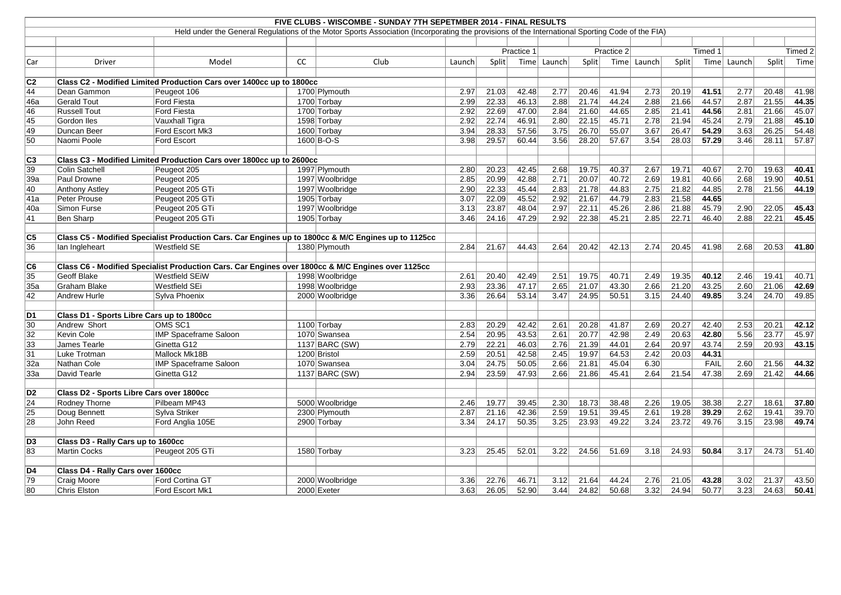|                |                                                                                                     |                                                                                                                            |    | FIVE CLUBS - WISCOMBE - SUNDAY 7TH SEPETMBER 2014 - FINAL RESULTS                                                                               |        |                |            |        |              |            |        |       |         |        |                    |                |
|----------------|-----------------------------------------------------------------------------------------------------|----------------------------------------------------------------------------------------------------------------------------|----|-------------------------------------------------------------------------------------------------------------------------------------------------|--------|----------------|------------|--------|--------------|------------|--------|-------|---------|--------|--------------------|----------------|
|                |                                                                                                     |                                                                                                                            |    | Held under the General Regulations of the Motor Sports Association (Incorporating the provisions of the International Sporting Code of the FIA) |        |                |            |        |              |            |        |       |         |        |                    |                |
|                |                                                                                                     |                                                                                                                            |    |                                                                                                                                                 |        |                |            |        |              |            |        |       |         |        |                    |                |
|                |                                                                                                     |                                                                                                                            |    |                                                                                                                                                 |        |                | Practice 1 |        |              | Practice 2 |        |       | Timed 1 |        |                    | Timed 2        |
| Car            | <b>Driver</b>                                                                                       | Model                                                                                                                      | CC | Club                                                                                                                                            | Launch | Split          | Time       | Launch | Split        | Time       | Launch | Split | Time    | Launch | Split              | Time           |
| C2             |                                                                                                     | Class C2 - Modified Limited Production Cars over 1400cc up to 1800cc                                                       |    |                                                                                                                                                 |        |                |            |        |              |            |        |       |         |        |                    |                |
| 44             | Dean Gammon                                                                                         | Peugeot 106                                                                                                                |    | 1700 Plymouth                                                                                                                                   | 2.97   | 21.03          | 42.48      | 2.77   | 20.46        | 41.94      | 2.73   | 20.19 | 41.51   | 2.77   | 20.48              | 41.98          |
| 46a            | Gerald Tout                                                                                         | <b>Ford Fiesta</b>                                                                                                         |    | 1700 Torbay                                                                                                                                     | 2.99   | 22.33          | 46.13      | 2.88   | 21.74        | 44.24      | 2.88   | 21.66 | 44.57   | 2.87   | 21.55              | 44.35          |
| 46             | <b>Russell Tout</b>                                                                                 | <b>Ford Fiesta</b>                                                                                                         |    | 1700 Torbay                                                                                                                                     | 2.92   | 22.69          | 47.00      | 2.84   | 21.60        | 44.65      | 2.85   | 21.41 | 44.56   | 2.81   | 21.66              | 45.07          |
| 45             | Gordon Iles                                                                                         | Vauxhall Tigra                                                                                                             |    | 1598 Torbay                                                                                                                                     | 2.92   | 22.74          | 46.91      | 2.80   | 22.15        | 45.71      | 2.78   | 21.94 | 45.24   | 2.79   | 21.88              | 45.10          |
| 49             | Duncan Beer                                                                                         | Ford Escort Mk3                                                                                                            |    | 1600 Torbay                                                                                                                                     | 3.94   | 28.33          | 57.56      | 3.75   | 26.70        | 55.07      | 3.67   | 26.47 | 54.29   | 3.63   | 26.25              | 54.48          |
| 50             | Naomi Poole                                                                                         | Ford Escort                                                                                                                |    | 1600 B-O-S                                                                                                                                      | 3.98   | 29.57          | 60.44      | 3.56   | 28.20        | 57.67      | 3.54   | 28.03 | 57.29   | 3.46   | 28.11              | 57.87          |
|                |                                                                                                     |                                                                                                                            |    |                                                                                                                                                 |        |                |            |        |              |            |        |       |         |        |                    |                |
| C <sub>3</sub> |                                                                                                     | Class C3 - Modified Limited Production Cars over 1800cc up to 2600cc                                                       |    |                                                                                                                                                 |        |                |            |        |              |            |        |       |         |        |                    |                |
| 39             | Colin Satchell                                                                                      | Peugeot 205                                                                                                                |    | 1997 Plymouth                                                                                                                                   | 2.80   | 20.23          | 42.45      | 2.68   | 19.75        | 40.37      | 2.67   | 19.71 | 40.67   | 2.70   | 19.63              | 40.41          |
| 39a            | Paul Drowne                                                                                         | Peugeot 205                                                                                                                |    | 1997 Woolbridge                                                                                                                                 | 2.85   | 20.99          | 42.88      | 2.71   | 20.07        | 40.72      | 2.69   | 19.81 | 40.66   | 2.68   | 19.90              | 40.51          |
| 40             | Anthony Astley                                                                                      | Peugeot 205 GTi                                                                                                            |    | 1997 Woolbridge                                                                                                                                 | 2.90   | 22.33          | 45.44      | 2.83   | 21.78        | 44.83      | 2.75   | 21.82 | 44.85   | 2.78   | 21.56              | 44.19          |
| 41a            | Peter Prouse                                                                                        | Peugeot 205 GTi                                                                                                            |    | 1905 Torbay                                                                                                                                     | 3.07   | 22.09          | 45.52      | 2.92   | 21.67        | 44.79      | 2.83   | 21.58 | 44.65   |        |                    |                |
| 40a            | Simon Furse                                                                                         | Peugeot 205 GTi                                                                                                            |    | 1997 Woolbridge                                                                                                                                 | 3.13   | 23.87          | 48.04      | 2.97   | 22.11        | 45.26      | 2.86   | 21.88 | 45.79   | 2.90   | 22.05              | 45.43          |
| 41             | Ben Sharp                                                                                           | Peugeot 205 GTi                                                                                                            |    | 1905 Torbay                                                                                                                                     | 3.46   | 24.16          | 47.29      | 2.92   | 22.38        | 45.21      | 2.85   | 22.71 | 46.40   | 2.88   | 22.21              | 45.45          |
| C5             | Class C5 - Modified Specialist Production Cars. Car Engines up to 1800cc & M/C Engines up to 1125cc |                                                                                                                            |    |                                                                                                                                                 |        |                |            |        |              |            |        |       |         |        |                    |                |
| 36             | Ian Ingleheart                                                                                      | Westfield SE                                                                                                               |    | 1380 Plymouth                                                                                                                                   | 2.84   | 21.67          | 44.43      | 2.64   | 20.42        | 42.13      | 2.74   | 20.45 | 41.98   | 2.68   | 20.53              | 41.80          |
|                |                                                                                                     |                                                                                                                            |    |                                                                                                                                                 |        |                |            |        |              |            |        |       |         |        |                    |                |
| C6             | <b>Geoff Blake</b>                                                                                  | Class C6 - Modified Specialist Production Cars. Car Engines over 1800cc & M/C Engines over 1125cc<br><b>Westfield SEiW</b> |    | 1998 Woolbridge                                                                                                                                 | 2.61   |                | 42.49      | 2.51   | 19.75        | 40.71      | 2.49   | 19.35 | 40.12   | 2.46   | 19.41              | 40.71          |
| 35<br>35a      | Graham Blake                                                                                        | <b>Westfield SEi</b>                                                                                                       |    | 1998 Woolbridge                                                                                                                                 | 2.93   | 20.40<br>23.36 | 47.17      | 2.65   | 21.07        | 43.30      | 2.66   | 21.20 | 43.25   | 2.60   | 21.06              | 42.69          |
| 42             | Andrew Hurle                                                                                        | Sylva Phoenix                                                                                                              |    | 2000 Woolbridge                                                                                                                                 | 3.36   | 26.64          | 53.14      | 3.47   | 24.95        | 50.51      | 3.15   | 24.40 | 49.85   | 3.24   | 24.70              | 49.85          |
|                |                                                                                                     |                                                                                                                            |    |                                                                                                                                                 |        |                |            |        |              |            |        |       |         |        |                    |                |
| D <sub>1</sub> | Class D1 - Sports Libre Cars up to 1800cc                                                           |                                                                                                                            |    |                                                                                                                                                 |        |                |            |        |              |            |        |       |         |        |                    |                |
| 30             | Andrew Short                                                                                        | OMS SC1                                                                                                                    |    | 1100 Torbay                                                                                                                                     | 2.83   | 20.29          | 42.42      | 2.61   | 20.28        | 41.87      | 2.69   | 20.27 | 42.40   | 2.53   | 20.21              | 42.12          |
| 32             | Kevin Cole                                                                                          | <b>IMP Spaceframe Saloon</b>                                                                                               |    | 1070 Swansea                                                                                                                                    | 2.54   | 20.95          | 43.53      | 2.61   | 20.77        | 42.98      | 2.49   | 20.63 | 42.80   | 5.56   | 23.77              | 45.97          |
| 33             | James Tearle                                                                                        | Ginetta G12                                                                                                                |    | 1137 BARC $(SW)$                                                                                                                                | 2.79   | 22.21          | 46.03      | 2.76   | 21.39        | 44.01      | 2.64   | 20.97 | 43.74   | 2.59   | 20.93              | 43.15          |
| 31             | Luke Trotman                                                                                        | Mallock Mk18B                                                                                                              |    | 1200 Bristol                                                                                                                                    | 2.59   | 20.51          | 42.58      | 2.45   | 19.97        | 64.53      | 2.42   | 20.03 | 44.31   |        |                    |                |
| 32a            | Nathan Cole                                                                                         | <b>IMP Spaceframe Saloon</b>                                                                                               |    | 1070 Swansea                                                                                                                                    | 3.04   | 24.75          | 50.05      | 2.66   | 21.81        | 45.04      | 6.30   |       | FAIL    |        | $2.60$ 21.56 44.32 |                |
| 33a            | David Tearle                                                                                        | Ginetta G12                                                                                                                |    | $1137$ BARC (SW)                                                                                                                                | 2.94   | 23.59          | 47.93      | 2.66   | 21.86        | 45.41      | 2.64   | 21.54 | 47.38   | 2.69   | 21.42              | 44.66          |
| D <sub>2</sub> | Class D2 - Sports Libre Cars over 1800cc                                                            |                                                                                                                            |    |                                                                                                                                                 |        |                |            |        |              |            |        |       |         |        |                    |                |
| 24             | Rodney Thorne                                                                                       | Pilbeam MP43                                                                                                               |    | 5000 Woolbridge                                                                                                                                 | 2.46   | 19.77          | 39.45      | 2.30   | 18.73        | 38.48      | 2.26   | 19.05 | 38.38   | 2.27   | 18.61              | 37.80          |
| 25             |                                                                                                     | Sylva Striker                                                                                                              |    | 2300 Plymouth                                                                                                                                   | 2.87   | 21.16          | 42.36      | 2.59   | 19.51        | 39.45      | 2.61   | 19.28 | 39.29   | 2.62   | 19.41              |                |
| 28             | Doug Bennett<br>John Reed                                                                           | Ford Anglia 105E                                                                                                           |    | 2900 Torbay                                                                                                                                     | 3.34   | 24.17          |            | 3.25   |              | 49.22      | 3.24   | 23.72 | 49.76   | 3.15   | 23.98              | 39.70<br>49.74 |
|                |                                                                                                     |                                                                                                                            |    |                                                                                                                                                 |        |                | 50.35      |        | 23.93        |            |        |       |         |        |                    |                |
| D <sub>3</sub> | Class D3 - Rally Cars up to 1600cc                                                                  |                                                                                                                            |    |                                                                                                                                                 |        |                |            |        |              |            |        |       |         |        |                    |                |
| 83             | Martin Cocks                                                                                        | Peugeot 205 GTi                                                                                                            |    | 1580 Torbay                                                                                                                                     | 3.23   | 25.45          | 52.01      | 3.22   | 24.56        | 51.69      | 3.18   | 24.93 | 50.84   | 3.17   | 24.73              | 51.40          |
|                |                                                                                                     |                                                                                                                            |    |                                                                                                                                                 |        |                |            |        |              |            |        |       |         |        |                    |                |
| D4             | <b>Class D4 - Rally Cars over 1600cc</b>                                                            |                                                                                                                            |    |                                                                                                                                                 |        |                |            |        |              |            |        |       |         |        |                    |                |
| 79             | Craig Moore                                                                                         | Ford Cortina GT                                                                                                            |    | 2000 Woolbridge                                                                                                                                 | 3.36   | 22.76          | 46.71      | 3.12   | 21.64        | 44.24      | 2.76   | 21.05 | 43.28   | 3.02   | 21.37              | 43.50          |
| 80             | Chris Elston                                                                                        | Ford Escort Mk1                                                                                                            |    | $2000$ Exeter                                                                                                                                   | 3.63   | 26.05          | 52.90      |        | $3.44$ 24.82 | 50.68      | 3.32   | 24.94 | 50.77   | 3.23   | 24.63              | 50.41          |